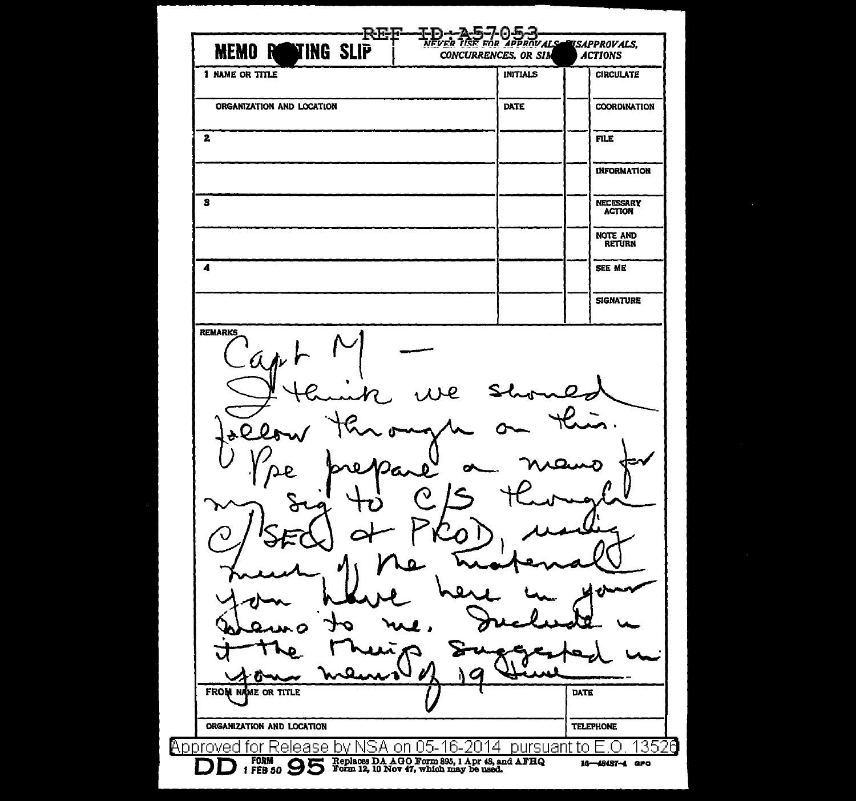| 1 NAME OR TITLE           | CONCURRENCES, OR SIM | <b>INITIALS</b> | <b>ACTIONS</b><br><b>CIRCULATE</b> |
|---------------------------|----------------------|-----------------|------------------------------------|
|                           |                      |                 |                                    |
| ORGANIZATION AND LOCATION |                      | <b>DATE</b>     | COORDINATION                       |
| $\mathbf{z}$              |                      |                 | <b>FILE</b>                        |
|                           |                      |                 | <b>INFORMATION</b>                 |
| з                         |                      |                 | <b>NECESSARY</b><br><b>ACTION</b>  |
|                           |                      |                 | <b>NOTE AND</b><br><b>RETURN</b>   |
| 4                         |                      |                 | SEE ME                             |
|                           |                      |                 | <b>SIGNATURE</b>                   |
|                           |                      |                 |                                    |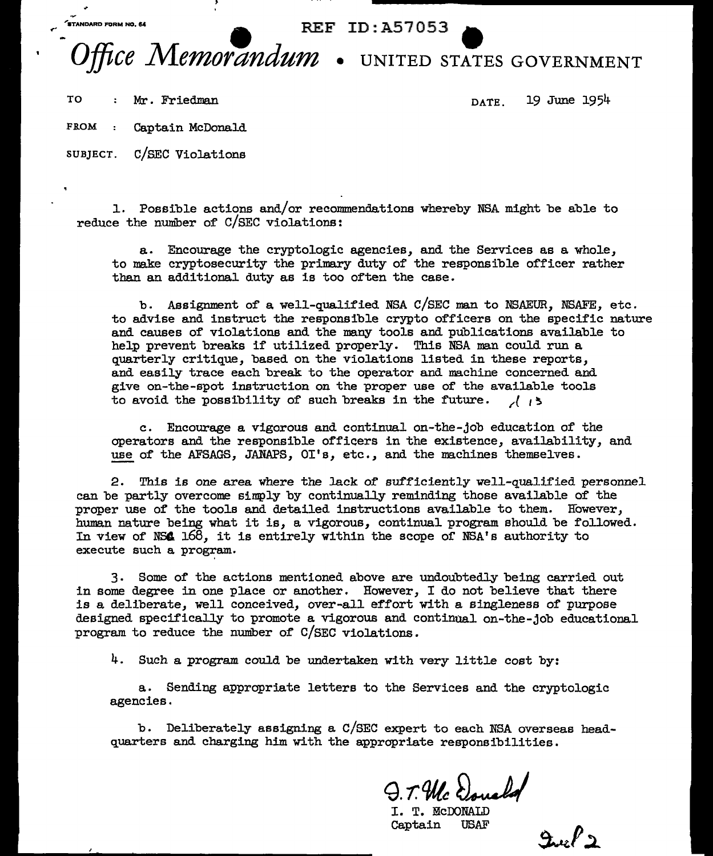$\overbrace{\text{S}^{\text{TAMDARD FORM NO. 64}}}$  REF ID: A57053

## *ffice Memorandum* • UNITED STATES GOVERNMENT

TO : Mr. Friedman DATE 19 June 1954

FROM : Captain McDonald

SUBJECT. C/SEC Violations

l. Possible actions and/or reconunenda.tiona whereby NSA might be able to reduce the number of C/SEC violations:

a. Encourage the cryptologic agencies, and the Services as a whole, to make cryptosecurity the primary duty of the responsible officer rather than an additional duty as is too often the case.

b. Assignment of a well-qualified NSA C/SEC man to NSAEUR, NSAFE, etc. to advise and instruct the responsible crypto officers on the specific nature and causes of violations and the many tools and publications available to help prevent breaks if utilized properly. This NSA man could run a quarterly critique, based on the violations listed in these reports, and easily trace each break to the operator and machine concerned and give on-the-spot instruction on the proper use of the available tools to avoid the possibility of such breaks in the future. */(* <sup>~</sup>

c. Encourage a vigorous and continual on-the-job education of the operators and the responsible officers in the existence, availability, and use of the AFSAGS, JANAPS, OI's, etc., and the machines themselves.

2. This is one area where the lack of sufficiently well-qualified personnel can be partly overcome simply by continually reminding those available of the proper use of the tools and detailed instructions available to them. However, human nature being what it is, a vigorous, continual program should be followed. In view of NS4 168, it is entirely within the scope of NSA's authority to execute such a program..

3 . Some of the actions mentioned above are undoubtedly being carried out in some degree in one place or another. However, I do not believe that there is a deliberate, well conceived, over-all effort with a singleness of purpose designed specifically to promote a vigorous and continual on-the-job educational program to reduce the number of C/SEC violations.

4. Such a program could be undertaken with very little cost by:

a. Sending appropriate letters to the Services and the cryptologic agencies.

b. Deliberately assigning a C/SEC expert to each NSA overseas headquarters and charging him with the appropriate responsibilities.

Q. T. Mc Donald

Captain